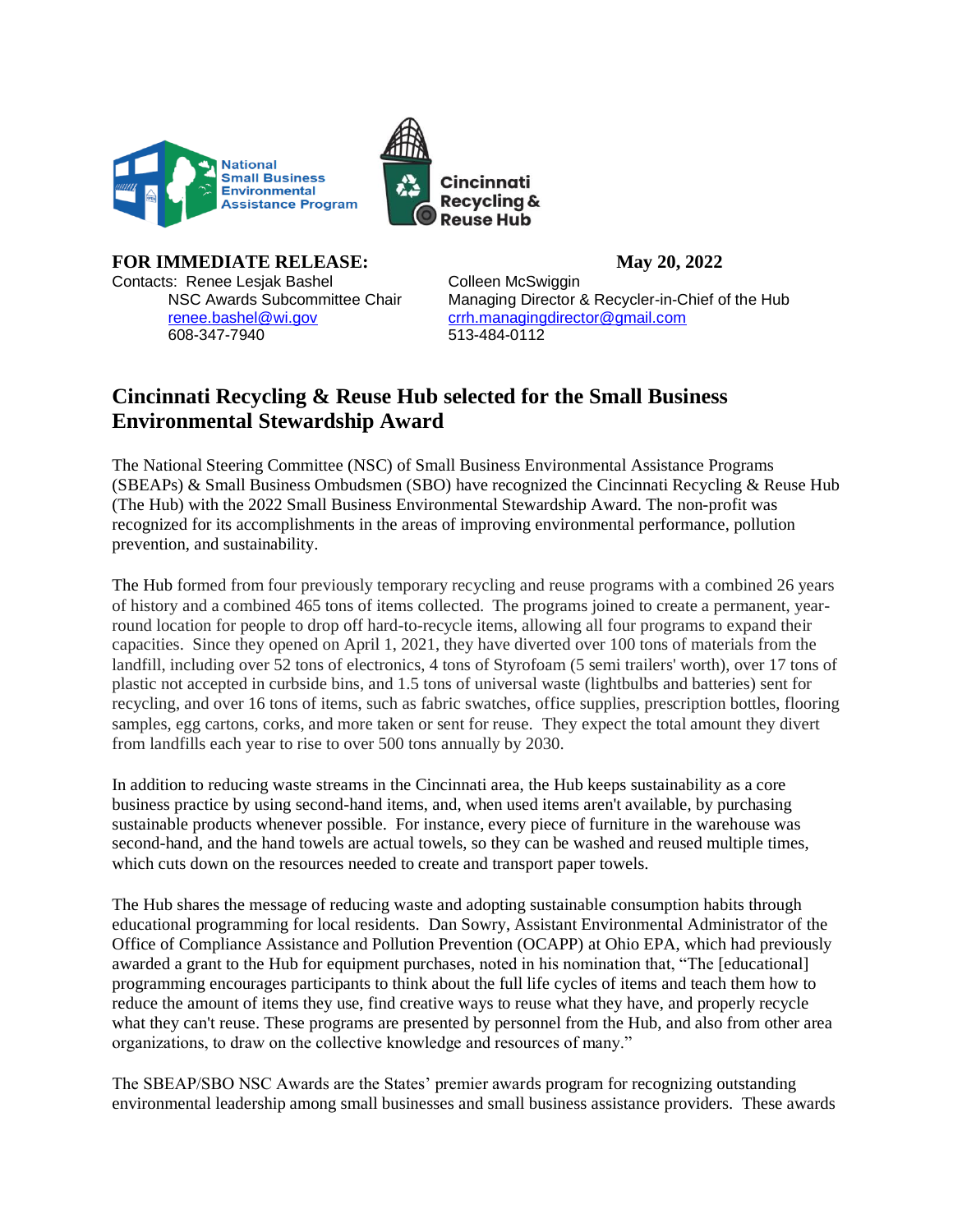



## **FOR IMMEDIATE RELEASE: May 20, 2022** Contacts: Renee Lesjak Bashel Colleen McSwiggin

608-347-7940 513-484-0112

NSC Awards Subcommittee Chair Managing Director & Recycler-in-Chief of the Hub [renee.bashel@wi.gov](mailto:renee.bashel@wi.gov) [crrh.managingdirector@gmail.com](mailto:crrh.managingdirector@gmail.com)

## **Cincinnati Recycling & Reuse Hub selected for the Small Business Environmental Stewardship Award**

The National Steering Committee (NSC) of Small Business Environmental Assistance Programs (SBEAPs) & Small Business Ombudsmen (SBO) have recognized the Cincinnati Recycling & Reuse Hub (The Hub) with the 2022 Small Business Environmental Stewardship Award. The non-profit was recognized for its accomplishments in the areas of improving environmental performance, pollution prevention, and sustainability.

The Hub formed from four previously temporary recycling and reuse programs with a combined 26 years of history and a combined 465 tons of items collected. The programs joined to create a permanent, yearround location for people to drop off hard-to-recycle items, allowing all four programs to expand their capacities. Since they opened on April 1, 2021, they have diverted over 100 tons of materials from the landfill, including over 52 tons of electronics, 4 tons of Styrofoam (5 semi trailers' worth), over 17 tons of plastic not accepted in curbside bins, and 1.5 tons of universal waste (lightbulbs and batteries) sent for recycling, and over 16 tons of items, such as fabric swatches, office supplies, prescription bottles, flooring samples, egg cartons, corks, and more taken or sent for reuse. They expect the total amount they divert from landfills each year to rise to over 500 tons annually by 2030.

In addition to reducing waste streams in the Cincinnati area, the Hub keeps sustainability as a core business practice by using second-hand items, and, when used items aren't available, by purchasing sustainable products whenever possible. For instance, every piece of furniture in the warehouse was second-hand, and the hand towels are actual towels, so they can be washed and reused multiple times, which cuts down on the resources needed to create and transport paper towels.

The Hub shares the message of reducing waste and adopting sustainable consumption habits through educational programming for local residents. Dan Sowry, Assistant Environmental Administrator of the Office of Compliance Assistance and Pollution Prevention (OCAPP) at Ohio EPA, which had previously awarded a grant to the Hub for equipment purchases, noted in his nomination that, "The [educational] programming encourages participants to think about the full life cycles of items and teach them how to reduce the amount of items they use, find creative ways to reuse what they have, and properly recycle what they can't reuse. These programs are presented by personnel from the Hub, and also from other area organizations, to draw on the collective knowledge and resources of many."

The SBEAP/SBO NSC Awards are the States' premier awards program for recognizing outstanding environmental leadership among small businesses and small business assistance providers. These awards